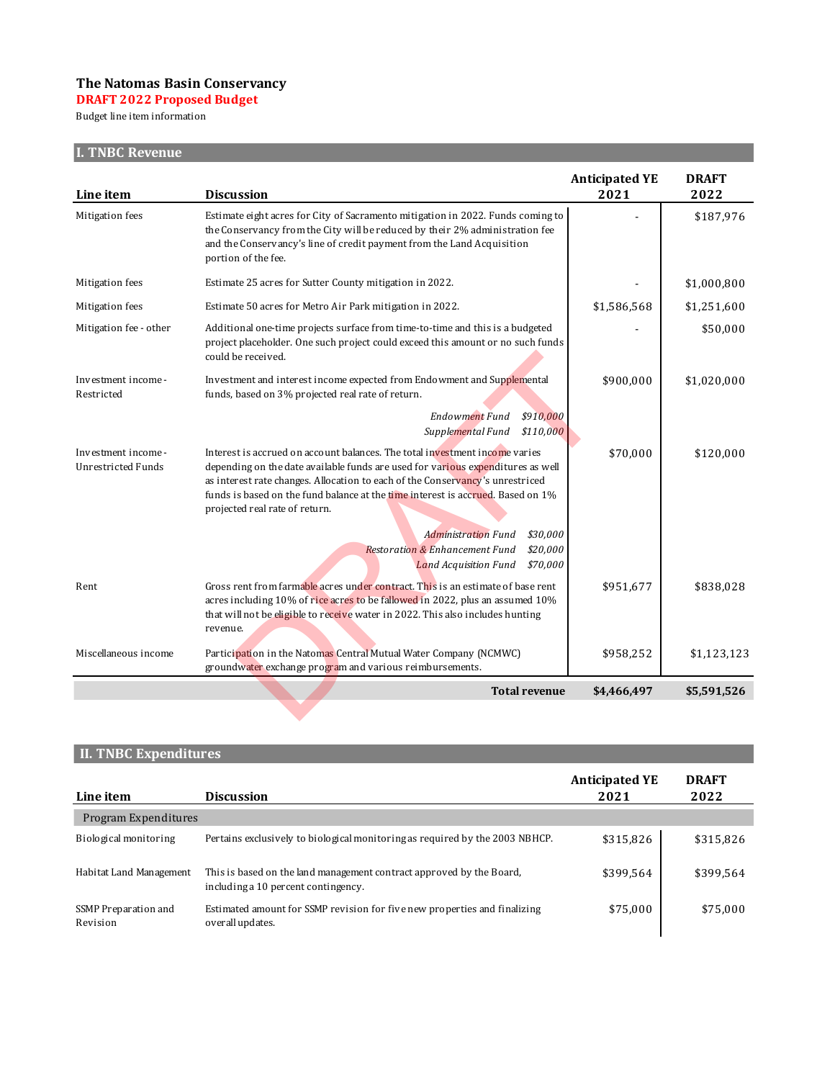## **The Natomas Basin Conservancy**

**2022 Proposed DRAFT 2022 Proposed Budget**

line item Budget line item information

# **I. TNBC Revenue**

|                                           |                                                                                                                                                                                                                                                                                                                                                                      | <b>Anticipated YE</b> | <b>DRAFT</b> |
|-------------------------------------------|----------------------------------------------------------------------------------------------------------------------------------------------------------------------------------------------------------------------------------------------------------------------------------------------------------------------------------------------------------------------|-----------------------|--------------|
| Line item                                 | <b>Discussion</b>                                                                                                                                                                                                                                                                                                                                                    | 2021                  | 2022         |
| Mitigation fees                           | Estimate eight acres for City of Sacramento mitigation in 2022. Funds coming to<br>the Conservancy from the City will be reduced by their 2% administration fee<br>and the Conservancy's line of credit payment from the Land Acquisition<br>portion of the fee.                                                                                                     |                       | \$187,976    |
| Mitigation fees                           | Estimate 25 acres for Sutter County mitigation in 2022.                                                                                                                                                                                                                                                                                                              |                       | \$1,000,800  |
| Mitigation fees                           | Estimate 50 acres for Metro Air Park mitigation in 2022.                                                                                                                                                                                                                                                                                                             | \$1,586,568           | \$1,251,600  |
| Mitigation fee - other                    | Additional one-time projects surface from time-to-time and this is a budgeted<br>project placeholder. One such project could exceed this amount or no such funds<br>could be received.                                                                                                                                                                               |                       | \$50,000     |
| Investment income -<br>Restricted         | Investment and interest income expected from Endowment and Supplemental<br>funds, based on 3% projected real rate of return.                                                                                                                                                                                                                                         | \$900,000             | \$1,020,000  |
|                                           | <b>Endowment Fund</b><br>\$910,000<br>Supplemental Fund<br>\$110,000                                                                                                                                                                                                                                                                                                 |                       |              |
| Investment income -<br>Unrestricted Funds | Interest is accrued on account balances. The total investment income varies<br>depending on the date available funds are used for various expenditures as well<br>as interest rate changes. Allocation to each of the Conservancy's unrestriced<br>funds is based on the fund balance at the time interest is accrued. Based on 1%<br>projected real rate of return. | \$70,000              | \$120,000    |
|                                           | \$30.000<br><b>Administration Fund</b><br>\$20,000<br><b>Restoration &amp; Enhancement Fund</b><br>\$70,000<br><b>Land Acquisition Fund</b>                                                                                                                                                                                                                          |                       |              |
| Rent                                      | Gross rent from farmable acres under contract. This is an estimate of base rent<br>acres including 10% of rice acres to be fallowed in 2022, plus an assumed 10%<br>that will not be eligible to receive water in 2022. This also includes hunting<br>revenue.                                                                                                       | \$951,677             | \$838,028    |
| Miscellaneous income                      | Participation in the Natomas Central Mutual Water Company (NCMWC)<br>groundwater exchange program and various reimbursements.                                                                                                                                                                                                                                        | \$958,252             | \$1,123,123  |
|                                           | <b>Total revenue</b>                                                                                                                                                                                                                                                                                                                                                 | \$4,466,497           | \$5,591,526  |
|                                           |                                                                                                                                                                                                                                                                                                                                                                      |                       |              |

## **II. TNBC Expenditures**

| Line item                        | <b>Discussion</b>                                                                                           | <b>Anticipated YE</b><br>2021 | <b>DRAFT</b><br>2022 |
|----------------------------------|-------------------------------------------------------------------------------------------------------------|-------------------------------|----------------------|
| Program Expenditures             |                                                                                                             |                               |                      |
| Biological monitoring            | Pertains exclusively to biological monitoring as required by the 2003 NBHCP.                                | \$315,826                     | \$315,826            |
| Habitat Land Management          | This is based on the land management contract approved by the Board,<br>including a 10 percent contingency. | \$399,564                     | \$399,564            |
| SSMP Preparation and<br>Revision | Estimated amount for SSMP revision for five new properties and finalizing<br>overall updates.               | \$75,000                      | \$75,000             |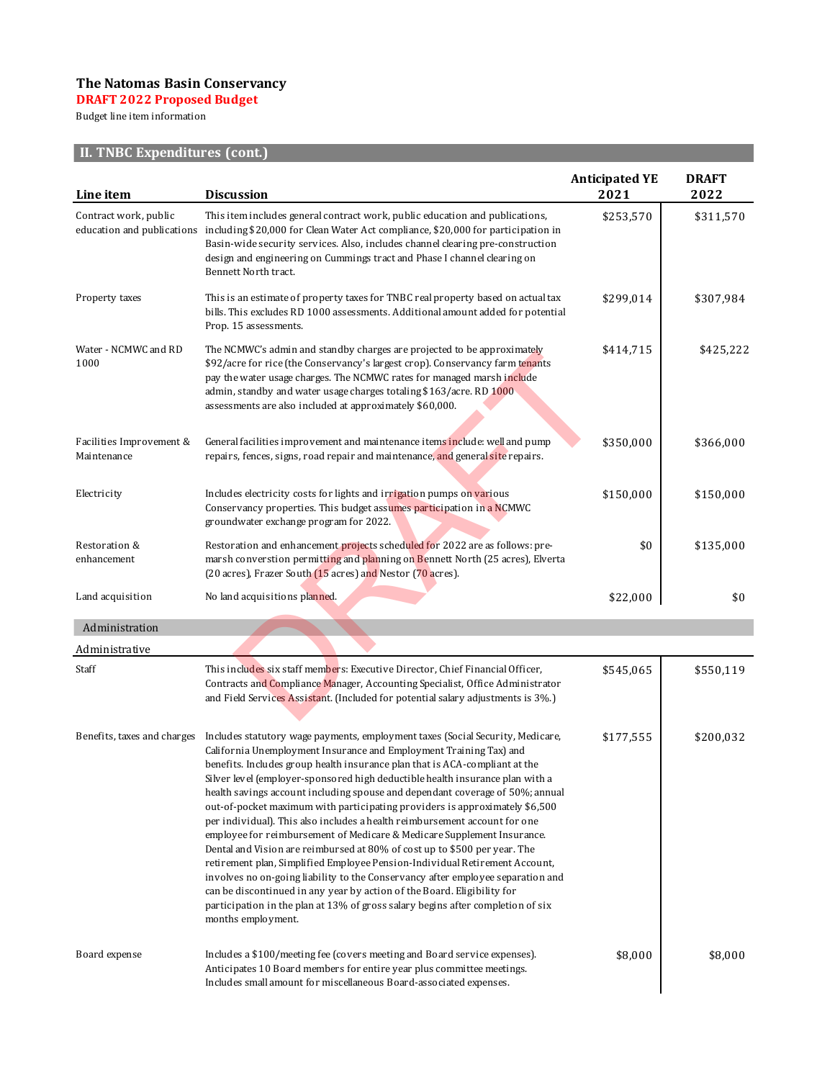## **The Natomas Basin Conservancy**

#### **2022 Proposed DRAFT 2022 Proposed Budget**

line item Budget line item information

# **II. TNBC Expenditures (cont.)**

| Line item                               | <b>Discussion</b>                                                                                                                                                                                                                                                                                                                                                                                                                                                                                                                                                                                                                                                                                                                                                                                                                                                                                                                                                                                                                                                                | <b>Anticipated YE</b><br>2021 | <b>DRAFT</b><br>2022 |
|-----------------------------------------|----------------------------------------------------------------------------------------------------------------------------------------------------------------------------------------------------------------------------------------------------------------------------------------------------------------------------------------------------------------------------------------------------------------------------------------------------------------------------------------------------------------------------------------------------------------------------------------------------------------------------------------------------------------------------------------------------------------------------------------------------------------------------------------------------------------------------------------------------------------------------------------------------------------------------------------------------------------------------------------------------------------------------------------------------------------------------------|-------------------------------|----------------------|
| Contract work, public                   | This item includes general contract work, public education and publications,<br>education and publications including \$20,000 for Clean Water Act compliance, \$20,000 for participation in<br>Basin-wide security services. Also, includes channel clearing pre-construction<br>design and engineering on Cummings tract and Phase I channel clearing on<br>Bennett North tract.                                                                                                                                                                                                                                                                                                                                                                                                                                                                                                                                                                                                                                                                                                | \$253,570                     | \$311,570            |
| Property taxes                          | This is an estimate of property taxes for TNBC real property based on actual tax<br>bills. This excludes RD 1000 assessments. Additional amount added for potential<br>Prop. 15 assessments.                                                                                                                                                                                                                                                                                                                                                                                                                                                                                                                                                                                                                                                                                                                                                                                                                                                                                     | \$299,014                     | \$307,984            |
| Water - NCMWC and RD<br>1000            | The NCMWC's admin and standby charges are projected to be approximately<br>\$92/acre for rice (the Conservancy's largest crop). Conservancy farm tenants<br>pay the water usage charges. The NCMWC rates for managed marsh include<br>admin, standby and water usage charges totaling \$163/acre. RD 1000<br>assessments are also included at approximately \$60,000.                                                                                                                                                                                                                                                                                                                                                                                                                                                                                                                                                                                                                                                                                                            | \$414,715                     | \$425,222            |
| Facilities Improvement &<br>Maintenance | General facilities improvement and maintenance items include: well and pump<br>repairs, fences, signs, road repair and maintenance, and general site repairs.                                                                                                                                                                                                                                                                                                                                                                                                                                                                                                                                                                                                                                                                                                                                                                                                                                                                                                                    | \$350,000                     | \$366,000            |
| Electricity                             | Includes electricity costs for lights and irrigation pumps on various<br>Conservancy properties. This budget assumes participation in a NCMWC<br>groundwater exchange program for 2022.                                                                                                                                                                                                                                                                                                                                                                                                                                                                                                                                                                                                                                                                                                                                                                                                                                                                                          | \$150,000                     | \$150,000            |
| Restoration &<br>enhancement            | Restoration and enhancement projects scheduled for 2022 are as follows: pre-<br>marsh converstion permitting and planning on Bennett North (25 acres), Elverta<br>(20 acres), Frazer South (15 acres) and Nestor (70 acres).                                                                                                                                                                                                                                                                                                                                                                                                                                                                                                                                                                                                                                                                                                                                                                                                                                                     | \$0                           | \$135,000            |
| Land acquisition                        | No land acquisitions planned.                                                                                                                                                                                                                                                                                                                                                                                                                                                                                                                                                                                                                                                                                                                                                                                                                                                                                                                                                                                                                                                    | \$22,000                      | \$0                  |
| Administration                          |                                                                                                                                                                                                                                                                                                                                                                                                                                                                                                                                                                                                                                                                                                                                                                                                                                                                                                                                                                                                                                                                                  |                               |                      |
| Administrative                          |                                                                                                                                                                                                                                                                                                                                                                                                                                                                                                                                                                                                                                                                                                                                                                                                                                                                                                                                                                                                                                                                                  |                               |                      |
| Staff                                   | This includes six staff members: Executive Director, Chief Financial Officer,<br>Contracts and Compliance Manager, Accounting Specialist, Office Administrator<br>and Field Services Assistant. (Included for potential salary adjustments is 3%.)                                                                                                                                                                                                                                                                                                                                                                                                                                                                                                                                                                                                                                                                                                                                                                                                                               | \$545,065                     | \$550,119            |
| Benefits, taxes and charges             | Includes statutory wage payments, employment taxes (Social Security, Medicare,<br>California Unemployment Insurance and Employment Training Tax) and<br>benefits. Includes group health insurance plan that is ACA-compliant at the<br>Silver level (employer-sponsored high deductible health insurance plan with a<br>health savings account including spouse and dependant coverage of 50%; annual<br>out-of-pocket maximum with participating providers is approximately \$6,500<br>per individual). This also includes a health reimbursement account for one<br>employee for reimbursement of Medicare & Medicare Supplement Insurance.<br>Dental and Vision are reimbursed at 80% of cost up to \$500 per year. The<br>retirement plan, Simplified Employee Pension-Individual Retirement Account,<br>involves no on-going liability to the Conservancy after employee separation and<br>can be discontinued in any year by action of the Board. Eligibility for<br>participation in the plan at 13% of gross salary begins after completion of six<br>months employment. | \$177,555                     | \$200,032            |
| Board expense                           | Includes a \$100/meeting fee (covers meeting and Board service expenses).<br>Anticipates 10 Board members for entire year plus committee meetings.<br>Includes small amount for miscellaneous Board-associated expenses.                                                                                                                                                                                                                                                                                                                                                                                                                                                                                                                                                                                                                                                                                                                                                                                                                                                         | \$8,000                       | \$8,000              |